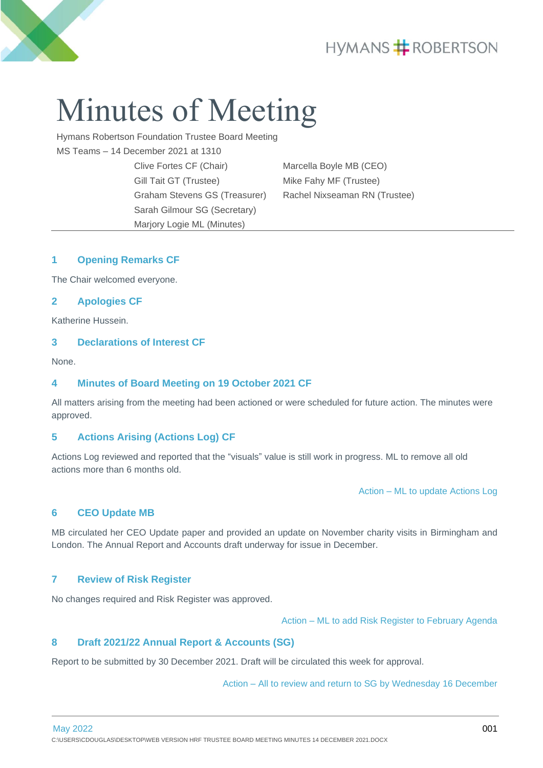# **HYMANS # ROBERTSON**



# Minutes of Meeting

Sarah Gilmour SG (Secretary) Marjory Logie ML (Minutes)

Hymans Robertson Foundation Trustee Board Meeting

MS Teams – 14 December 2021 at 1310 Clive Fortes CF (Chair) Marcella Boyle MB (CEO) Gill Tait GT (Trustee) Mike Fahy MF (Trustee)

Graham Stevens GS (Treasurer) Rachel Nixseaman RN (Trustee)

# **1 Opening Remarks CF**

The Chair welcomed everyone.

# **2 Apologies CF**

Katherine Hussein.

#### **3 Declarations of Interest CF**

None.

# **4 Minutes of Board Meeting on 19 October 2021 CF**

All matters arising from the meeting had been actioned or were scheduled for future action. The minutes were approved.

# **5 Actions Arising (Actions Log) CF**

Actions Log reviewed and reported that the "visuals" value is still work in progress. ML to remove all old actions more than 6 months old.

Action – ML to update Actions Log

# **6 CEO Update MB**

MB circulated her CEO Update paper and provided an update on November charity visits in Birmingham and London. The Annual Report and Accounts draft underway for issue in December.

# **7 Review of Risk Register**

No changes required and Risk Register was approved.

Action – ML to add Risk Register to February Agenda

# **8 Draft 2021/22 Annual Report & Accounts (SG)**

Report to be submitted by 30 December 2021. Draft will be circulated this week for approval.

Action – All to review and return to SG by Wednesday 16 December